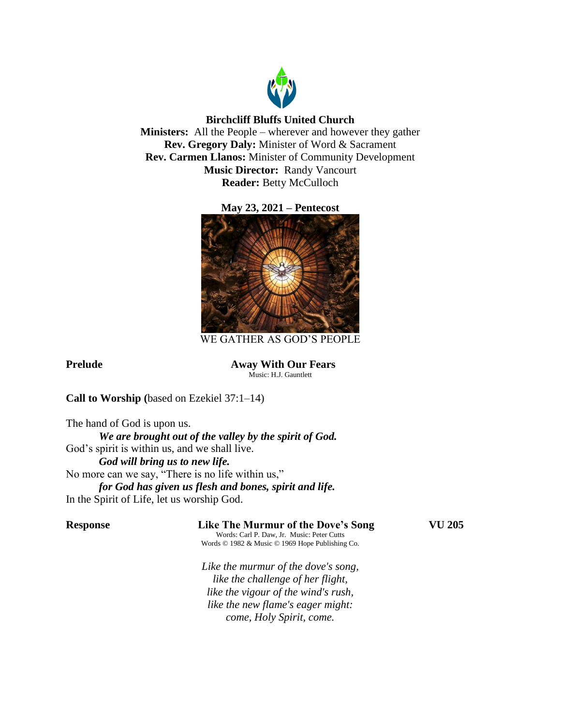

# **Birchcliff Bluffs United Church**

**Ministers:** All the People – wherever and however they gather **Rev. Gregory Daly:** Minister of Word & Sacrament **Rev. Carmen Llanos:** Minister of Community Development **Music Director:** Randy Vancourt **Reader:** Betty McCulloch

# **May 23, 2021 – Pentecost**



WE GATHER AS GOD'S PEOPLE

**Prelude Away With Our Fears** Music: H.J. Gauntlett

**Call to Worship (**based on Ezekiel 37:1–14)

The hand of God is upon us. *We are brought out of the valley by the spirit of God.* God's spirit is within us, and we shall live. *God will bring us to new life.* No more can we say, "There is no life within us," *for God has given us flesh and bones, spirit and life.* In the Spirit of Life, let us worship God.

# **Response Like The Murmur of the Dove's Song VU 205**

Words: Carl P. Daw, Jr. Music: Peter Cutts Words © 1982 & Music © 1969 Hope Publishing Co.

*Like the murmur of the dove's song, like the challenge of her flight, like the vigour of the wind's rush, like the new flame's eager might: come, Holy Spirit, come.*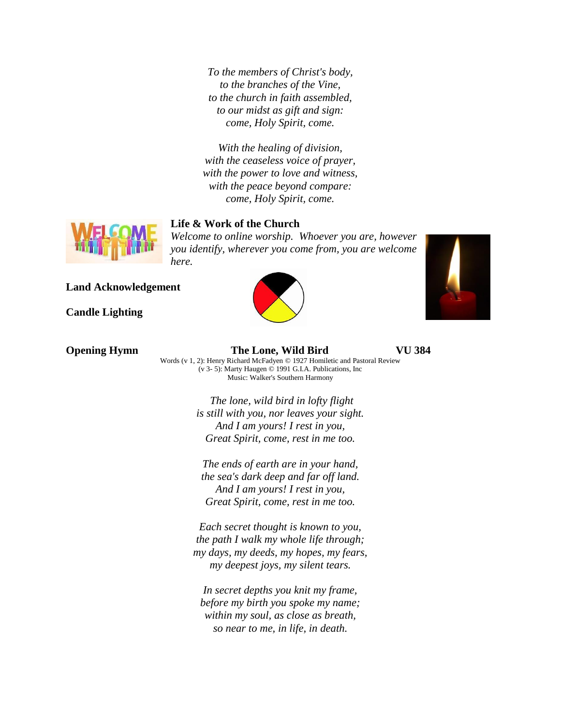*To the members of Christ's body, to the branches of the Vine, to the church in faith assembled, to our midst as gift and sign: come, Holy Spirit, come.*

*With the healing of division, with the ceaseless voice of prayer, with the power to love and witness, with the peace beyond compare: come, Holy Spirit, come.*



## **Life & Work of the Church**

*Welcome to online worship. Whoever you are, however you identify, wherever you come from, you are welcome here.*

**Land Acknowledgement**

**Candle Lighting**





**Opening Hymn The Lone, Wild Bird VU 384** Words (v 1, 2): Henry Richard McFadyen © 1927 Homiletic and Pastoral Review (v 3- 5): Marty Haugen © 1991 G.I.A. Publications, Inc

Music: Walker's Southern Harmony *The lone, wild bird in lofty flight is still with you, nor leaves your sight.*

*And I am yours! I rest in you, Great Spirit, come, rest in me too.*

*The ends of earth are in your hand, the sea's dark deep and far off land. And I am yours! I rest in you, Great Spirit, come, rest in me too.*

*Each secret thought is known to you, the path I walk my whole life through; my days, my deeds, my hopes, my fears, my deepest joys, my silent tears.*

*In secret depths you knit my frame, before my birth you spoke my name; within my soul, as close as breath, so near to me, in life, in death.*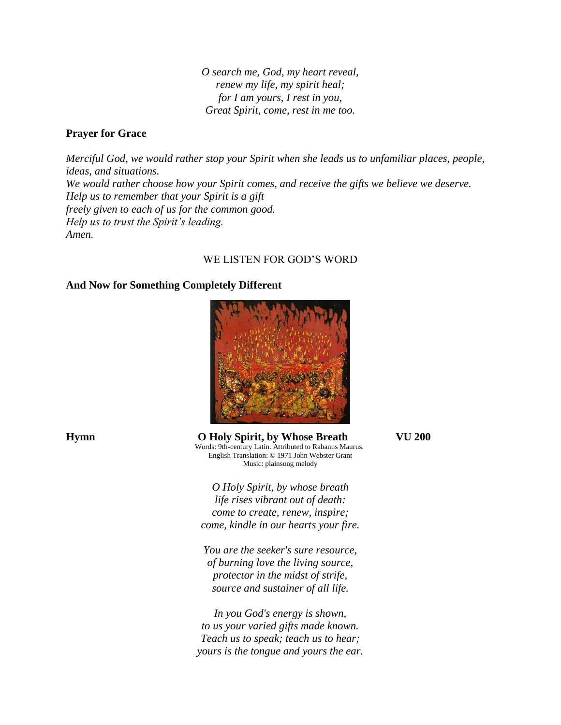*O search me, God, my heart reveal, renew my life, my spirit heal; for I am yours, I rest in you, Great Spirit, come, rest in me too.*

### **Prayer for Grace**

*Merciful God, we would rather stop your Spirit when she leads us to unfamiliar places, people, ideas, and situations. We would rather choose how your Spirit comes, and receive the gifts we believe we deserve. Help us to remember that your Spirit is a gift freely given to each of us for the common good. Help us to trust the Spirit's leading. Amen.*

## WE LISTEN FOR GOD'S WORD

### **And Now for Something Completely Different**



**Hymn O Holy Spirit, by Whose Breath VU 200** Words: 9th-century Latin. Attributed to Rabanus Maurus. English Translation: © 1971 John Webster Grant Music: plainsong melody

> *O Holy Spirit, by whose breath life rises vibrant out of death: come to create, renew, inspire; come, kindle in our hearts your fire.*

*You are the seeker's sure resource, of burning love the living source, protector in the midst of strife, source and sustainer of all life.*

*In you God's energy is shown, to us your varied gifts made known. Teach us to speak; teach us to hear; yours is the tongue and yours the ear.*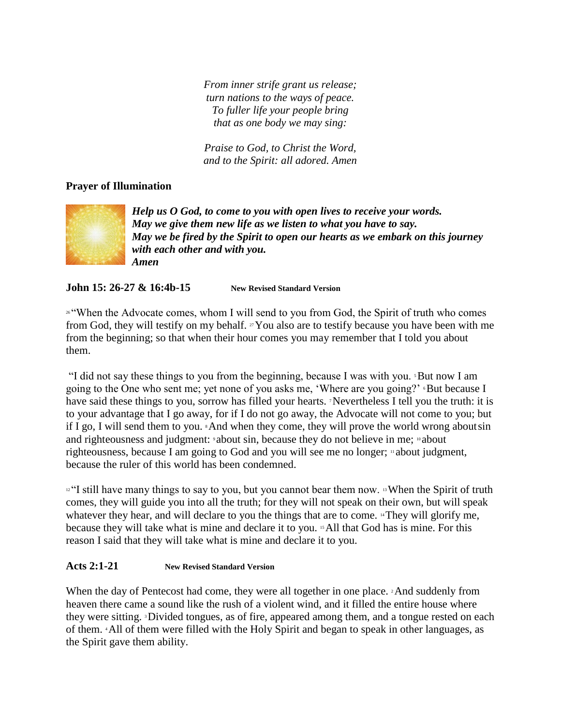*From inner strife grant us release; turn nations to the ways of peace. To fuller life your people bring that as one body we may sing:*

*Praise to God, to Christ the Word, and to the Spirit: all adored. Amen*

# **Prayer of Illumination**



*Help us O God, to come to you with open lives to receive your words. May we give them new life as we listen to what you have to say. May we be fired by the Spirit to open our hearts as we embark on this journey with each other and with you. Amen*

**John 15: 26-27 & 16:4b-15 New Revised Standard Version**

26 "When the Advocate comes, whom I will send to you from God, the Spirit of truth who comes from God, they will testify on my behalf.  $\alpha$  You also are to testify because you have been with me from the beginning; so that when their hour comes you may remember that I told you about them.

"I did not say these things to you from the beginning, because I was with you. 5But now I am going to the One who sent me; yet none of you asks me, 'Where are you going?' But because I have said these things to you, sorrow has filled your hearts. Nevertheless I tell you the truth: it is to your advantage that I go away, for if I do not go away, the Advocate will not come to you; but if I go, I will send them to you. 8And when they come, they will prove the world wrong aboutsin and righteousness and judgment: *about sin*, because they do not believe in me; *about* righteousness, because I am going to God and you will see me no longer; <sup>11</sup> about judgment, because the ruler of this world has been condemned.

<sup>12</sup> "I still have many things to say to you, but you cannot bear them now. <sup>13</sup> When the Spirit of truth comes, they will guide you into all the truth; for they will not speak on their own, but will speak whatever they hear, and will declare to you the things that are to come. <sup>14</sup>They will glorify me, because they will take what is mine and declare it to you. 15All that God has is mine. For this reason I said that they will take what is mine and declare it to you.

# **Acts 2:1-21 New Revised Standard Version**

When the day of Pentecost had come, they were all together in one place. <sup>2</sup>And suddenly from heaven there came a sound like the rush of a violent wind, and it filled the entire house where they were sitting. 3Divided tongues, as of fire, appeared among them, and a tongue rested on each of them. 4All of them were filled with the Holy Spirit and began to speak in other languages, as the Spirit gave them ability.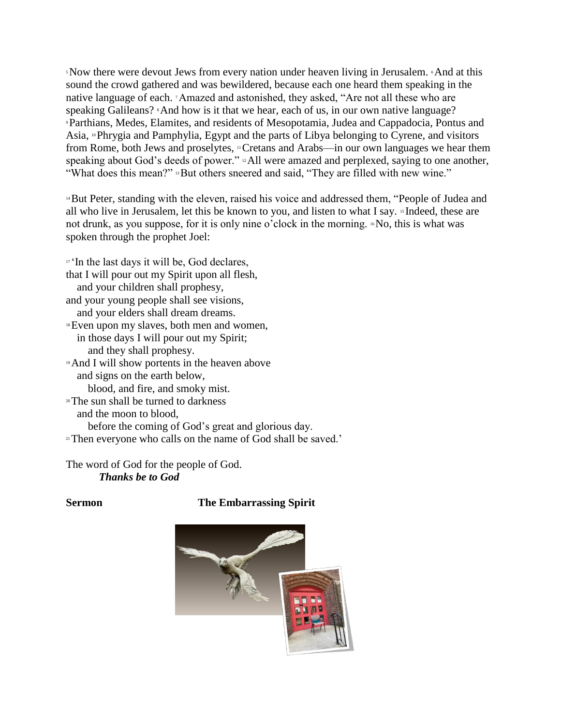<sup>5</sup>Now there were devout Jews from every nation under heaven living in Jerusalem. 6And at this sound the crowd gathered and was bewildered, because each one heard them speaking in the native language of each. 7Amazed and astonished, they asked, "Are not all these who are speaking Galileans? \*And how is it that we hear, each of us, in our own native language? <sup>9</sup>Parthians, Medes, Elamites, and residents of Mesopotamia, Judea and Cappadocia, Pontus and Asia, 10Phrygia and Pamphylia, Egypt and the parts of Libya belonging to Cyrene, and visitors from Rome, both Jews and proselytes, <sup>11</sup>Cretans and Arabs—in our own languages we hear them speaking about God's deeds of power." <sup>12</sup>All were amazed and perplexed, saying to one another, "What does this mean?" **But others sneered and said, "They are filled with new wine."** 

<sup>14</sup>But Peter, standing with the eleven, raised his voice and addressed them, "People of Judea and all who live in Jerusalem, let this be known to you, and listen to what I say. <sup>15</sup> Indeed, these are not drunk, as you suppose, for it is only nine o'clock in the morning. <sup>16</sup>No, this is what was spoken through the prophet Joel:

<sup>17</sup> In the last days it will be, God declares, that I will pour out my Spirit upon all flesh, and your children shall prophesy, and your young people shall see visions, and your elders shall dream dreams. <sup>18</sup>Even upon my slaves, both men and women, in those days I will pour out my Spirit; and they shall prophesy. <sup>19</sup>And I will show portents in the heaven above and signs on the earth below, blood, and fire, and smoky mist. <sup>20</sup>The sun shall be turned to darkness and the moon to blood, before the coming of God's great and glorious day. <sup>21</sup>Then everyone who calls on the name of God shall be saved.'

The word of God for the people of God. *Thanks be to God*

# **Sermon The Embarrassing Spirit**

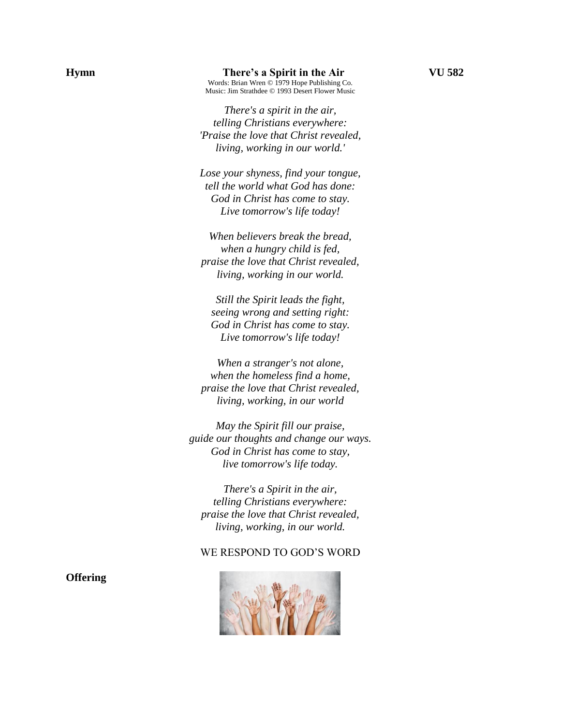*There's a spirit in the air, telling Christians everywhere: 'Praise the love that Christ revealed, living, working in our world.'*

*Lose your shyness, find your tongue, tell the world what God has done: God in Christ has come to stay. Live tomorrow's life today!*

*When believers break the bread, when a hungry child is fed, praise the love that Christ revealed, living, working in our world.*

*Still the Spirit leads the fight, seeing wrong and setting right: God in Christ has come to stay. Live tomorrow's life today!*

*When a stranger's not alone, when the homeless find a home, praise the love that Christ revealed, living, working, in our world*

*May the Spirit fill our praise, guide our thoughts and change our ways. God in Christ has come to stay, live tomorrow's life today.*

*There's a Spirit in the air, telling Christians everywhere: praise the love that Christ revealed, living, working, in our world.*

#### WE RESPOND TO GOD'S WORD



**Offering**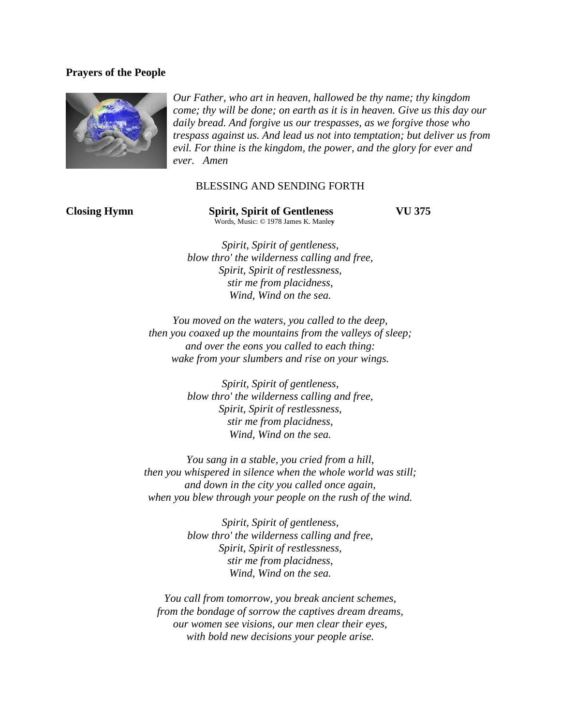## **Prayers of the People**



*Our Father, who art in heaven, hallowed be thy name; thy kingdom come; thy will be done; on earth as it is in heaven. Give us this day our daily bread. And forgive us our trespasses, as we forgive those who trespass against us. And lead us not into temptation; but deliver us from evil. For thine is the kingdom, the power, and the glory for ever and ever. Amen*

#### BLESSING AND SENDING FORTH

**Closing Hymn Spirit, Spirit of Gentleness VU 375** Words, Music: © 1978 James K. Manle**y**

*Spirit, Spirit of gentleness, blow thro' the wilderness calling and free, Spirit, Spirit of restlessness, stir me from placidness, Wind, Wind on the sea.*

*You moved on the waters, you called to the deep, then you coaxed up the mountains from the valleys of sleep; and over the eons you called to each thing: wake from your slumbers and rise on your wings.*

> *Spirit, Spirit of gentleness, blow thro' the wilderness calling and free, Spirit, Spirit of restlessness, stir me from placidness, Wind, Wind on the sea.*

*You sang in a stable, you cried from a hill, then you whispered in silence when the whole world was still; and down in the city you called once again, when you blew through your people on the rush of the wind.*

> *Spirit, Spirit of gentleness, blow thro' the wilderness calling and free, Spirit, Spirit of restlessness, stir me from placidness, Wind, Wind on the sea.*

*You call from tomorrow, you break ancient schemes, from the bondage of sorrow the captives dream dreams, our women see visions, our men clear their eyes, with bold new decisions your people arise.*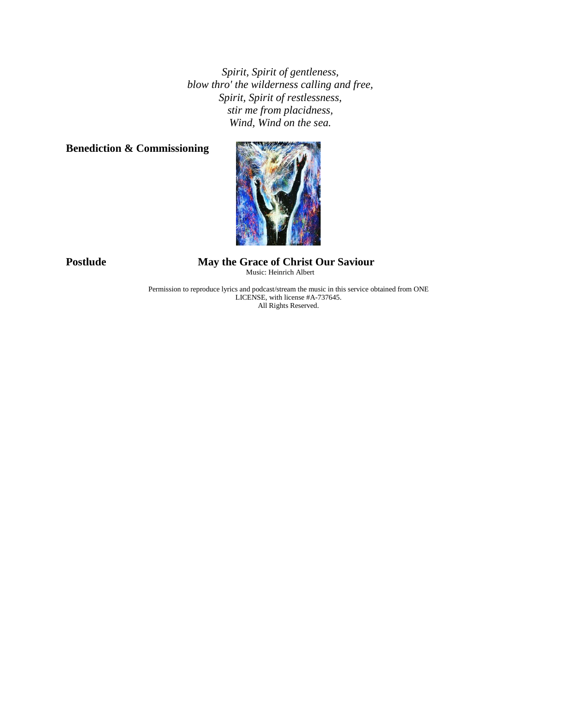*Spirit, Spirit of gentleness, blow thro' the wilderness calling and free, Spirit, Spirit of restlessness, stir me from placidness, Wind, Wind on the sea.*

# **Benediction & Commissioning**



**Postlude May the Grace of Christ Our Saviour** Music: Heinrich Albert

> Permission to reproduce lyrics and podcast/stream the music in this service obtained from ONE LICENSE, with license #A-737645. All Rights Reserved.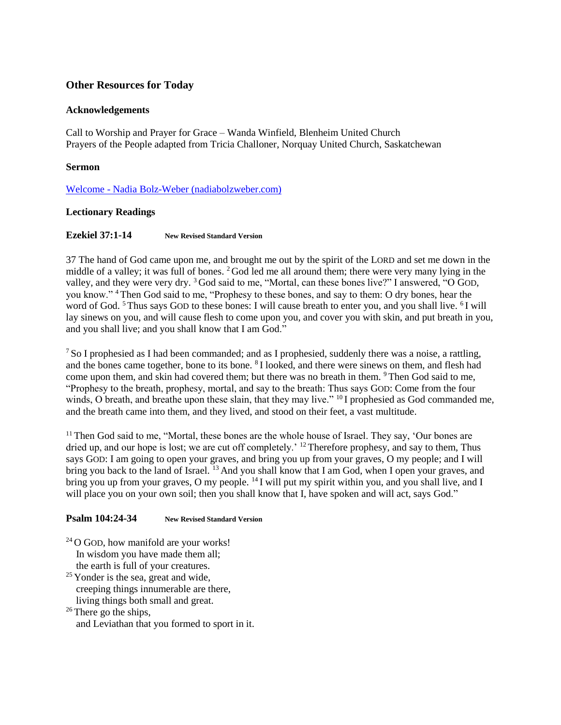# **Other Resources for Today**

#### **Acknowledgements**

Call to Worship and Prayer for Grace – Wanda Winfield, Blenheim United Church Prayers of the People adapted from Tricia Challoner, Norquay United Church, Saskatchewan

#### **Sermon**

Welcome - [Nadia Bolz-Weber \(nadiabolzweber.com\)](https://nadiabolzweber.com/)

#### **Lectionary Readings**

#### **Ezekiel 37:1-14 New Revised Standard Version**

37 The hand of God came upon me, and brought me out by the spirit of the LORD and set me down in the middle of a valley; it was full of bones. <sup>2</sup> God led me all around them; there were very many lying in the valley, and they were very dry. <sup>3</sup> God said to me, "Mortal, can these bones live?" I answered, "O GOD, you know." <sup>4</sup> Then God said to me, "Prophesy to these bones, and say to them: O dry bones, hear the word of God. <sup>5</sup> Thus says GOD to these bones: I will cause breath to enter you, and you shall live. <sup>6</sup>I will lay sinews on you, and will cause flesh to come upon you, and cover you with skin, and put breath in you, and you shall live; and you shall know that I am God."

<sup>7</sup> So I prophesied as I had been commanded; and as I prophesied, suddenly there was a noise, a rattling, and the bones came together, bone to its bone. <sup>8</sup>I looked, and there were sinews on them, and flesh had come upon them, and skin had covered them; but there was no breath in them. <sup>9</sup> Then God said to me, "Prophesy to the breath, prophesy, mortal, and say to the breath: Thus says GOD: Come from the four winds, O breath, and breathe upon these slain, that they may live." <sup>10</sup> I prophesied as God commanded me, and the breath came into them, and they lived, and stood on their feet, a vast multitude.

<sup>11</sup> Then God said to me, "Mortal, these bones are the whole house of Israel. They say, 'Our bones are dried up, and our hope is lost; we are cut off completely.<sup> $12$ </sup> Therefore prophesy, and say to them, Thus says GOD: I am going to open your graves, and bring you up from your graves, O my people; and I will bring you back to the land of Israel. <sup>13</sup> And you shall know that I am God, when I open your graves, and bring you up from your graves, O my people.  $^{14}$ I will put my spirit within you, and you shall live, and I will place you on your own soil; then you shall know that I, have spoken and will act, says God."

### **Psalm 104:24-34 New Revised Standard Version**

 $24$  O GOD, how manifold are your works! In wisdom you have made them all; the earth is full of your creatures.

<sup>25</sup> Yonder is the sea, great and wide, creeping things innumerable are there, living things both small and great.

 $26$  There go the ships, and Leviathan that you formed to sport in it.